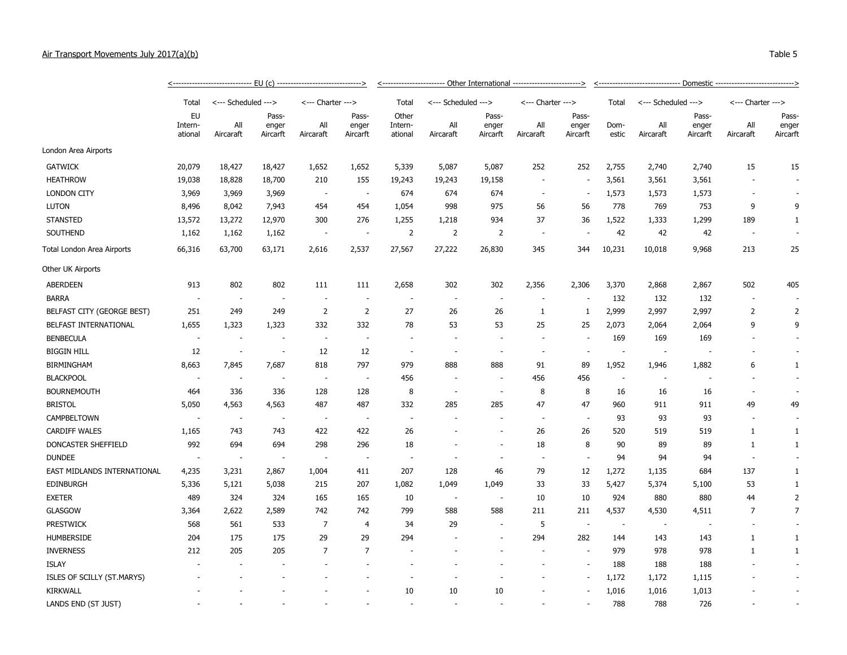## Air Transport Movements July 2017(a)(b) Table 5

|                             |                                 | <------------------------------ | EU(c)                      | ----------------------------------> |                            | <----------------------- Other International -----------------------> |                          |                            |                          |                            | <u>&lt;------------------------------ Domestic ---------------------------&gt;</u> |                          |                            |                          |                            |  |
|-----------------------------|---------------------------------|---------------------------------|----------------------------|-------------------------------------|----------------------------|-----------------------------------------------------------------------|--------------------------|----------------------------|--------------------------|----------------------------|------------------------------------------------------------------------------------|--------------------------|----------------------------|--------------------------|----------------------------|--|
|                             | Total                           | <--- Scheduled --->             |                            | <--- Charter --->                   |                            | Total                                                                 | <--- Scheduled --->      |                            | <--- Charter --->        |                            | Total                                                                              | <--- Scheduled --->      |                            | <--- Charter --->        |                            |  |
|                             | <b>EU</b><br>Intern-<br>ational | All<br>Aircaraft                | Pass-<br>enger<br>Aircarft | All<br>Aircaraft                    | Pass-<br>enger<br>Aircarft | Other<br>Intern-<br>ational                                           | All<br>Aircaraft         | Pass-<br>enger<br>Aircarft | All<br>Aircaraft         | Pass-<br>enger<br>Aircarft | Dom-<br>estic                                                                      | All<br>Aircaraft         | Pass-<br>enger<br>Aircarft | All<br>Aircaraft         | Pass-<br>enger<br>Aircarft |  |
| London Area Airports        |                                 |                                 |                            |                                     |                            |                                                                       |                          |                            |                          |                            |                                                                                    |                          |                            |                          |                            |  |
| <b>GATWICK</b>              | 20,079                          | 18,427                          | 18,427                     | 1,652                               | 1,652                      | 5,339                                                                 | 5,087                    | 5,087                      | 252                      | 252                        | 2,755                                                                              | 2,740                    | 2,740                      | 15                       | 15                         |  |
| <b>HEATHROW</b>             | 19,038                          | 18,828                          | 18,700                     | 210                                 | 155                        | 19,243                                                                | 19,243                   | 19,158                     | $\overline{\phantom{a}}$ | $\overline{\phantom{a}}$   | 3,561                                                                              | 3,561                    | 3,561                      | $\overline{\phantom{a}}$ |                            |  |
| <b>LONDON CITY</b>          | 3,969                           | 3,969                           | 3,969                      | $\overline{\phantom{a}}$            | $\sim$                     | 674                                                                   | 674                      | 674                        | $\overline{\phantom{a}}$ | $\overline{\phantom{a}}$   | 1,573                                                                              | 1,573                    | 1,573                      | $\sim$                   |                            |  |
| <b>LUTON</b>                | 8,496                           | 8,042                           | 7,943                      | 454                                 | 454                        | 1,054                                                                 | 998                      | 975                        | 56                       | 56                         | 778                                                                                | 769                      | 753                        | 9                        | 9                          |  |
| <b>STANSTED</b>             | 13,572                          | 13,272                          | 12,970                     | 300                                 | 276                        | 1,255                                                                 | 1,218                    | 934                        | 37                       | 36                         | 1,522                                                                              | 1,333                    | 1,299                      | 189                      | 1                          |  |
| SOUTHEND                    | 1,162                           | 1,162                           | 1,162                      | $\overline{\phantom{a}}$            | $\overline{\phantom{a}}$   | 2                                                                     | 2                        | 2                          | $\sim$                   | $\overline{\phantom{a}}$   | 42                                                                                 | 42                       | 42                         | $\overline{\phantom{a}}$ |                            |  |
| Total London Area Airports  | 66,316                          | 63,700                          | 63,171                     | 2,616                               | 2,537                      | 27,567                                                                | 27,222                   | 26,830                     | 345                      | 344                        | 10,231                                                                             | 10,018                   | 9,968                      | 213                      | 25                         |  |
| Other UK Airports           |                                 |                                 |                            |                                     |                            |                                                                       |                          |                            |                          |                            |                                                                                    |                          |                            |                          |                            |  |
| <b>ABERDEEN</b>             | 913                             | 802                             | 802                        | 111                                 | 111                        | 2,658                                                                 | 302                      | 302                        | 2,356                    | 2,306                      | 3,370                                                                              | 2,868                    | 2,867                      | 502                      | 405                        |  |
| <b>BARRA</b>                | $\overline{\phantom{a}}$        | $\overline{\phantom{a}}$        | $\overline{\phantom{a}}$   | $\overline{\phantom{a}}$            | $\sim$                     |                                                                       |                          | $\overline{\phantom{a}}$   |                          | $\overline{\phantom{a}}$   | 132                                                                                | 132                      | 132                        | $\overline{\phantom{a}}$ |                            |  |
| BELFAST CITY (GEORGE BEST)  | 251                             | 249                             | 249                        | $\overline{2}$                      | $\overline{2}$             | 27                                                                    | 26                       | 26                         | 1                        | 1                          | 2,999                                                                              | 2,997                    | 2,997                      | $\overline{2}$           | $\overline{2}$             |  |
| BELFAST INTERNATIONAL       | 1,655                           | 1,323                           | 1,323                      | 332                                 | 332                        | 78                                                                    | 53                       | 53                         | 25                       | 25                         | 2,073                                                                              | 2,064                    | 2,064                      | 9                        | 9                          |  |
| <b>BENBECULA</b>            | $\overline{\phantom{a}}$        |                                 | $\overline{\phantom{a}}$   | $\overline{\phantom{a}}$            | $\overline{\phantom{a}}$   |                                                                       |                          |                            |                          | $\overline{\phantom{a}}$   | 169                                                                                | 169                      | 169                        |                          |                            |  |
| <b>BIGGIN HILL</b>          | 12                              | $\sim$                          | $\sim$                     | 12                                  | 12                         | $\overline{\phantom{a}}$                                              | $\overline{\phantom{a}}$ | ٠                          | $\overline{\phantom{a}}$ | $\overline{\phantom{a}}$   | $\overline{\phantom{a}}$                                                           | $\sim$                   |                            |                          |                            |  |
| <b>BIRMINGHAM</b>           | 8,663                           | 7,845                           | 7,687                      | 818                                 | 797                        | 979                                                                   | 888                      | 888                        | 91                       | 89                         | 1,952                                                                              | 1,946                    | 1,882                      | 6                        | 1                          |  |
| <b>BLACKPOOL</b>            | $\sim$                          | $\sim$                          | $\sim$                     | $\sim$                              | $\sim$                     | 456                                                                   | $\overline{\phantom{a}}$ | $\sim$                     | 456                      | 456                        | $\sim$                                                                             | $\overline{\phantom{a}}$ | $\sim$                     | $\overline{\phantom{a}}$ |                            |  |
| <b>BOURNEMOUTH</b>          | 464                             | 336                             | 336                        | 128                                 | 128                        | 8                                                                     | $\overline{\phantom{a}}$ | $\overline{\phantom{a}}$   | 8                        | 8                          | 16                                                                                 | 16                       | 16                         | $\overline{\phantom{a}}$ |                            |  |
| <b>BRISTOL</b>              | 5,050                           | 4,563                           | 4,563                      | 487                                 | 487                        | 332                                                                   | 285                      | 285                        | 47                       | 47                         | 960                                                                                | 911                      | 911                        | 49                       | 49                         |  |
| CAMPBELTOWN                 | $\overline{\phantom{a}}$        | $\overline{\phantom{a}}$        | $\overline{\phantom{a}}$   | $\overline{\phantom{a}}$            | $\sim$                     |                                                                       |                          | ٠.                         | $\overline{\phantom{a}}$ | $\overline{\phantom{a}}$   | 93                                                                                 | 93                       | 93                         | $\overline{\phantom{a}}$ |                            |  |
| <b>CARDIFF WALES</b>        | 1,165                           | 743                             | 743                        | 422                                 | 422                        | 26                                                                    | $\overline{\phantom{a}}$ | $\overline{\phantom{a}}$   | 26                       | 26                         | 520                                                                                | 519                      | 519                        | 1                        | 1                          |  |
| DONCASTER SHEFFIELD         | 992                             | 694                             | 694                        | 298                                 | 296                        | 18                                                                    | $\overline{\phantom{a}}$ | $\overline{\phantom{a}}$   | 18                       | 8                          | 90                                                                                 | 89                       | 89                         | 1                        | $\mathbf{1}$               |  |
| <b>DUNDEE</b>               | $\overline{\phantom{a}}$        | $\overline{\phantom{a}}$        | $\overline{\phantom{a}}$   | $\overline{\phantom{a}}$            |                            |                                                                       |                          | ٠                          |                          | ٠                          | 94                                                                                 | 94                       | 94                         |                          |                            |  |
| EAST MIDLANDS INTERNATIONAL | 4,235                           | 3,231                           | 2,867                      | 1,004                               | 411                        | 207                                                                   | 128                      | 46                         | 79                       | 12                         | 1,272                                                                              | 1,135                    | 684                        | 137                      | 1                          |  |
| <b>EDINBURGH</b>            | 5,336                           | 5,121                           | 5,038                      | 215                                 | 207                        | 1,082                                                                 | 1,049                    | 1,049                      | 33                       | 33                         | 5,427                                                                              | 5,374                    | 5,100                      | 53                       | 1                          |  |
| <b>EXETER</b>               | 489                             | 324                             | 324                        | 165                                 | 165                        | 10                                                                    |                          | $\overline{\phantom{a}}$   | 10                       | 10                         | 924                                                                                | 880                      | 880                        | 44                       | $\overline{2}$             |  |

GLASGOW 3,364 2,622 2,589 742 742 799 588 588 211 211 4,537 4,530 4,511 7 7 PRESTWICK 568 561 533 7 4 34 29 - 5 - - - - - - HUMBERSIDE 204 175 175 29 29 294 - - 294 282 144 143 143 1 1 INVERNESS 212 205 205 7 7 - - - - - 979 978 978 1 1 ISLAY - - - - - - - - - - 188 188 188 - - ISLES OF SCILLY (ST.MARYS) - - - - - - - - - - 1,172 1,172 1,115 - - KIRKWALL - - - - - 10 10 10 - - 1,016 1,016 1,013 - - LANDS END (ST JUST) - - - - - - - - - - 788 788 726 - -